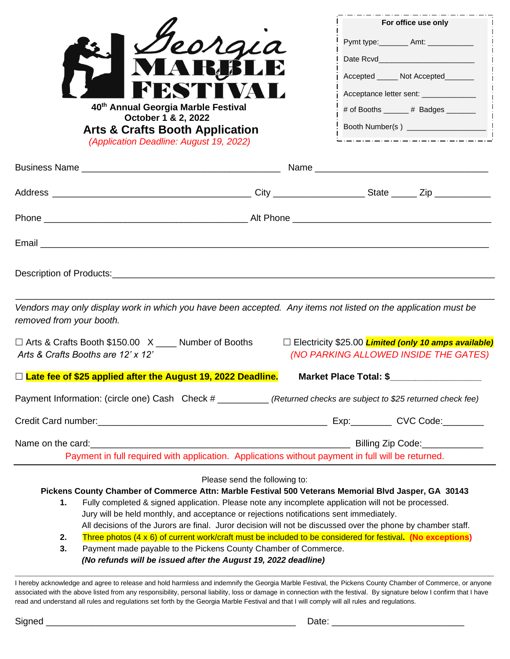|                                                                                                                                                                                                                                      |                                                                                                                                                                                                      |                               | For office use only                                                                                            |
|--------------------------------------------------------------------------------------------------------------------------------------------------------------------------------------------------------------------------------------|------------------------------------------------------------------------------------------------------------------------------------------------------------------------------------------------------|-------------------------------|----------------------------------------------------------------------------------------------------------------|
|                                                                                                                                                                                                                                      | eorgia                                                                                                                                                                                               |                               | Pymt type:_________ Amt: ____________                                                                          |
|                                                                                                                                                                                                                                      |                                                                                                                                                                                                      |                               | Date Rcvd <b>Date Revelopment</b>                                                                              |
|                                                                                                                                                                                                                                      |                                                                                                                                                                                                      |                               | Accepted ______ Not Accepted_______                                                                            |
|                                                                                                                                                                                                                                      |                                                                                                                                                                                                      |                               | Acceptance letter sent: ______________                                                                         |
|                                                                                                                                                                                                                                      | 40th Annual Georgia Marble Festival                                                                                                                                                                  |                               | # of Booths ______ # Badges ______                                                                             |
|                                                                                                                                                                                                                                      | October 1 & 2, 2022<br><b>Arts &amp; Crafts Booth Application</b><br>(Application Deadline: August 19, 2022)                                                                                         |                               | <u> 212121212121212121212121212121</u>                                                                         |
|                                                                                                                                                                                                                                      |                                                                                                                                                                                                      |                               |                                                                                                                |
|                                                                                                                                                                                                                                      |                                                                                                                                                                                                      |                               |                                                                                                                |
|                                                                                                                                                                                                                                      |                                                                                                                                                                                                      |                               |                                                                                                                |
|                                                                                                                                                                                                                                      |                                                                                                                                                                                                      |                               |                                                                                                                |
|                                                                                                                                                                                                                                      |                                                                                                                                                                                                      |                               |                                                                                                                |
| removed from your booth.                                                                                                                                                                                                             |                                                                                                                                                                                                      |                               | Vendors may only display work in which you have been accepted. Any items not listed on the application must be |
|                                                                                                                                                                                                                                      | □ Arts & Crafts Booth \$150.00 X ____ Number of Booths                                                                                                                                               |                               | □ Electricity \$25.00 <b>Limited (only 10 amps available)</b>                                                  |
| Arts & Crafts Booths are 12' x 12'<br>(NO PARKING ALLOWED INSIDE THE GATES)                                                                                                                                                          |                                                                                                                                                                                                      |                               |                                                                                                                |
|                                                                                                                                                                                                                                      | $\Box$ Late fee of \$25 applied after the August 19, 2022 Deadline.                                                                                                                                  |                               | Market Place Total: \$__________________                                                                       |
| Payment Information: (circle one) Cash Check # (Returned checks are subject to \$25 returned check fee)                                                                                                                              |                                                                                                                                                                                                      |                               |                                                                                                                |
|                                                                                                                                                                                                                                      |                                                                                                                                                                                                      |                               |                                                                                                                |
| Name on the card: <u>contract of the cardian contract of the contract of the contract of the cardian contract of the contract of the contract of the contract of the contract of the contract of the contract of the contract of</u> |                                                                                                                                                                                                      |                               |                                                                                                                |
| Payment in full required with application. Applications without payment in full will be returned.                                                                                                                                    |                                                                                                                                                                                                      |                               |                                                                                                                |
|                                                                                                                                                                                                                                      |                                                                                                                                                                                                      | Please send the following to: |                                                                                                                |
| Pickens County Chamber of Commerce Attn: Marble Festival 500 Veterans Memorial Blvd Jasper, GA 30143                                                                                                                                 |                                                                                                                                                                                                      |                               |                                                                                                                |
|                                                                                                                                                                                                                                      | Fully completed & signed application. Please note any incomplete application will not be processed.<br>1.<br>Jury will be held monthly, and acceptance or rejections notifications sent immediately. |                               |                                                                                                                |
|                                                                                                                                                                                                                                      | All decisions of the Jurors are final. Juror decision will not be discussed over the phone by chamber staff.                                                                                         |                               |                                                                                                                |
| Three photos (4 x 6) of current work/craft must be included to be considered for festival. (No exceptions)<br>2.                                                                                                                     |                                                                                                                                                                                                      |                               |                                                                                                                |
| Payment made payable to the Pickens County Chamber of Commerce.<br>3.<br>(No refunds will be issued after the August 19, 2022 deadline)                                                                                              |                                                                                                                                                                                                      |                               |                                                                                                                |
|                                                                                                                                                                                                                                      |                                                                                                                                                                                                      |                               |                                                                                                                |

I hereby acknowledge and agree to release and hold harmless and indemnify the Georgia Marble Festival, the Pickens County Chamber of Commerce, or anyone associated with the above listed from any responsibility, personal liability, loss or damage in connection with the festival. By signature below I confirm that I have read and understand all rules and regulations set forth by the Georgia Marble Festival and that I will comply will all rules and regulations.